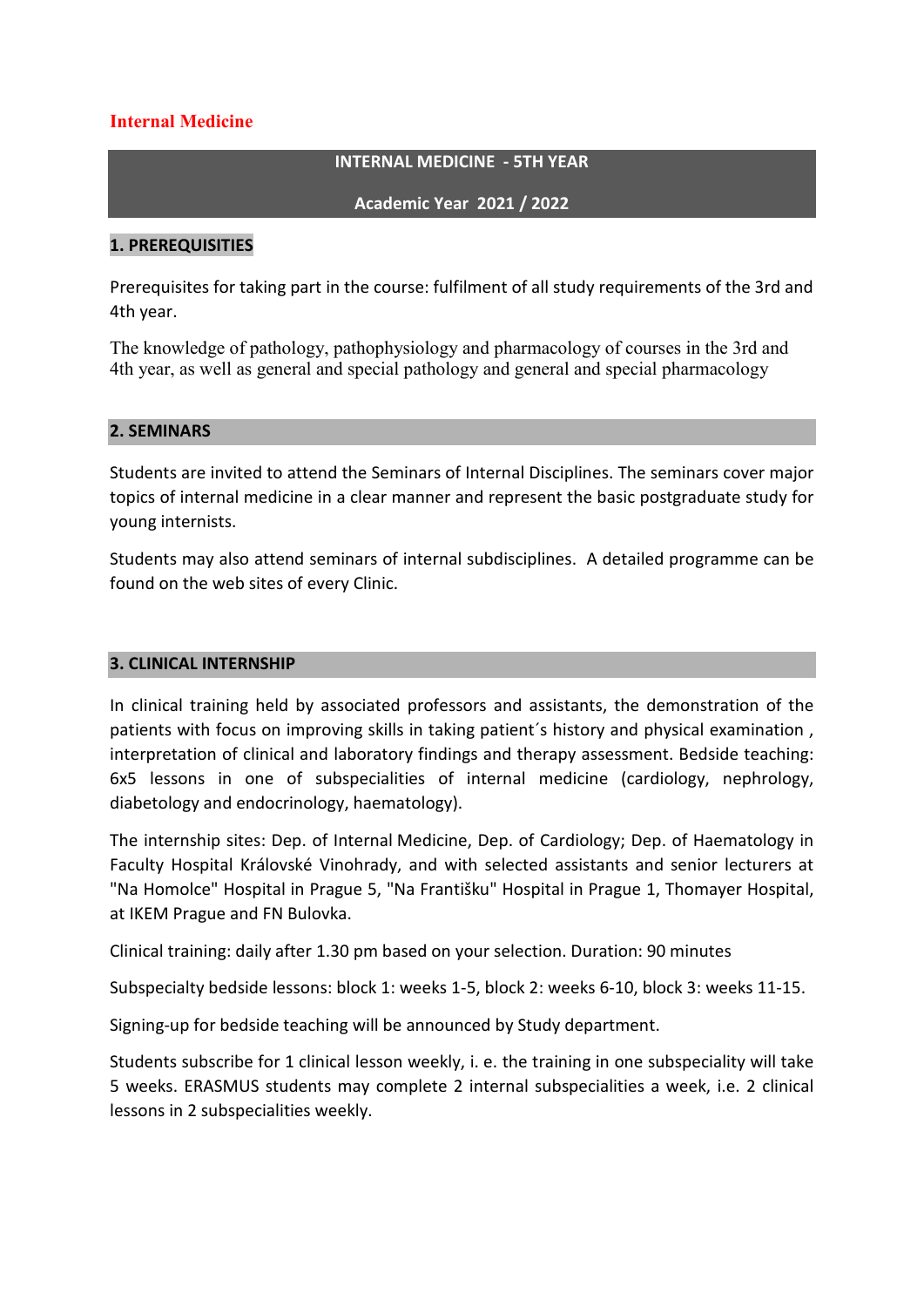# **Internal Medicine**

### **INTERNAL MEDICINE - 5TH YEAR**

**Academic Year 2021 / 2022**

### **1. PREREQUISITIES**

Prerequisites for taking part in the course: fulfilment of all study requirements of the 3rd and 4th year.

The knowledge of pathology, pathophysiology and pharmacology of courses in the 3rd and 4th year, as well as general and special pathology and general and special pharmacology

### **2. SEMINARS**

Students are invited to attend the Seminars of Internal Disciplines. The seminars cover major topics of internal medicine in a clear manner and represent the basic postgraduate study for young internists.

Students may also attend seminars of internal subdisciplines. A detailed programme can be found on the web sites of every Clinic.

### **3. CLINICAL INTERNSHIP**

In clinical training held by associated professors and assistants, the demonstration of the patients with focus on improving skills in taking patient´s history and physical examination , interpretation of clinical and laboratory findings and therapy assessment. Bedside teaching: 6x5 lessons in one of subspecialities of internal medicine (cardiology, nephrology, diabetology and endocrinology, haematology).

The internship sites: Dep. of Internal Medicine, Dep. of Cardiology; Dep. of Haematology in Faculty Hospital Královské Vinohrady, and with selected assistants and senior lecturers at "Na Homolce" Hospital in Prague 5, "Na Františku" Hospital in Prague 1, Thomayer Hospital, at IKEM Prague and FN Bulovka.

Clinical training: daily after 1.30 pm based on your selection. Duration: 90 minutes

Subspecialty bedside lessons: block 1: weeks 1-5, block 2: weeks 6-10, block 3: weeks 11-15.

Signing-up for bedside teaching will be announced by Study department.

Students subscribe for 1 clinical lesson weekly, i. e. the training in one subspeciality will take 5 weeks. ERASMUS students may complete 2 internal subspecialities a week, i.e. 2 clinical lessons in 2 subspecialities weekly.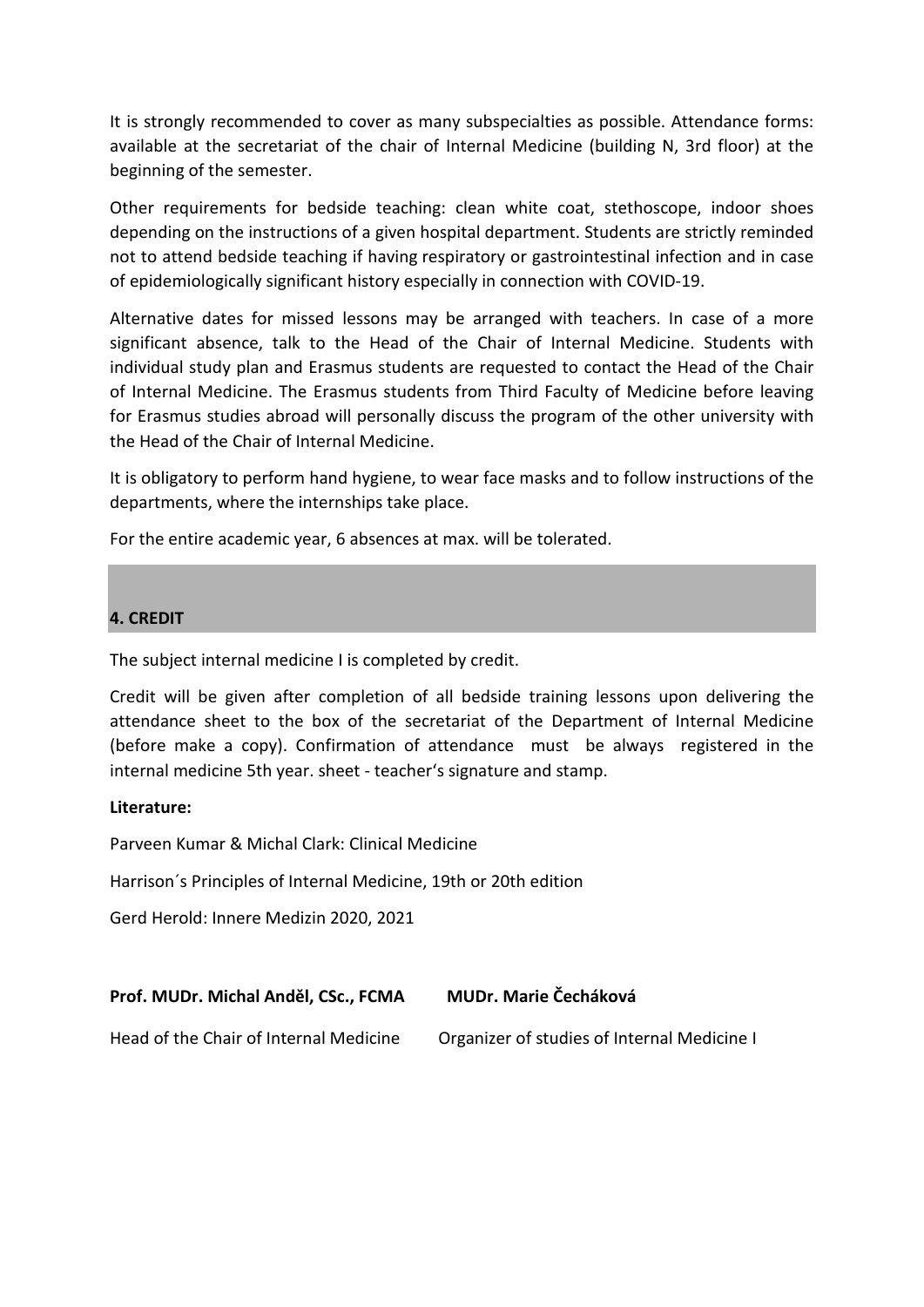It is strongly recommended to cover as many subspecialties as possible. Attendance forms: available at the secretariat of the chair of Internal Medicine (building N, 3rd floor) at the beginning of the semester.

Other requirements for bedside teaching: clean white coat, stethoscope, indoor shoes depending on the instructions of a given hospital department. Students are strictly reminded not to attend bedside teaching if having respiratory or gastrointestinal infection and in case of epidemiologically significant history especially in connection with COVID-19.

Alternative dates for missed lessons may be arranged with teachers. In case of a more significant absence, talk to the Head of the Chair of Internal Medicine. Students with individual study plan and Erasmus students are requested to contact the Head of the Chair of Internal Medicine. The Erasmus students from Third Faculty of Medicine before leaving for Erasmus studies abroad will personally discuss the program of the other university with the Head of the Chair of Internal Medicine.

It is obligatory to perform hand hygiene, to wear face masks and to follow instructions of the departments, where the internships take place.

For the entire academic year, 6 absences at max. will be tolerated.

# **4. CREDIT**

The subject internal medicine I is completed by credit.

Credit will be given after completion of all bedside training lessons upon delivering the attendance sheet to the box of the secretariat of the Department of Internal Medicine (before make a copy). Confirmation of attendance must be always registered in the internal medicine 5th year. sheet - teacher's signature and stamp.

### **Literature:**

Parveen Kumar & Michal Clark: Clinical Medicine

Harrison´s Principles of Internal Medicine, 19th or 20th edition

Gerd Herold: Innere Medizin 2020, 2021

| Prof. MUDr. Michal Anděl, CSc., FCMA | MUDr. Marie Čecháková |
|--------------------------------------|-----------------------|
|                                      |                       |

Head of the Chair of Internal Medicine Organizer of studies of Internal Medicine I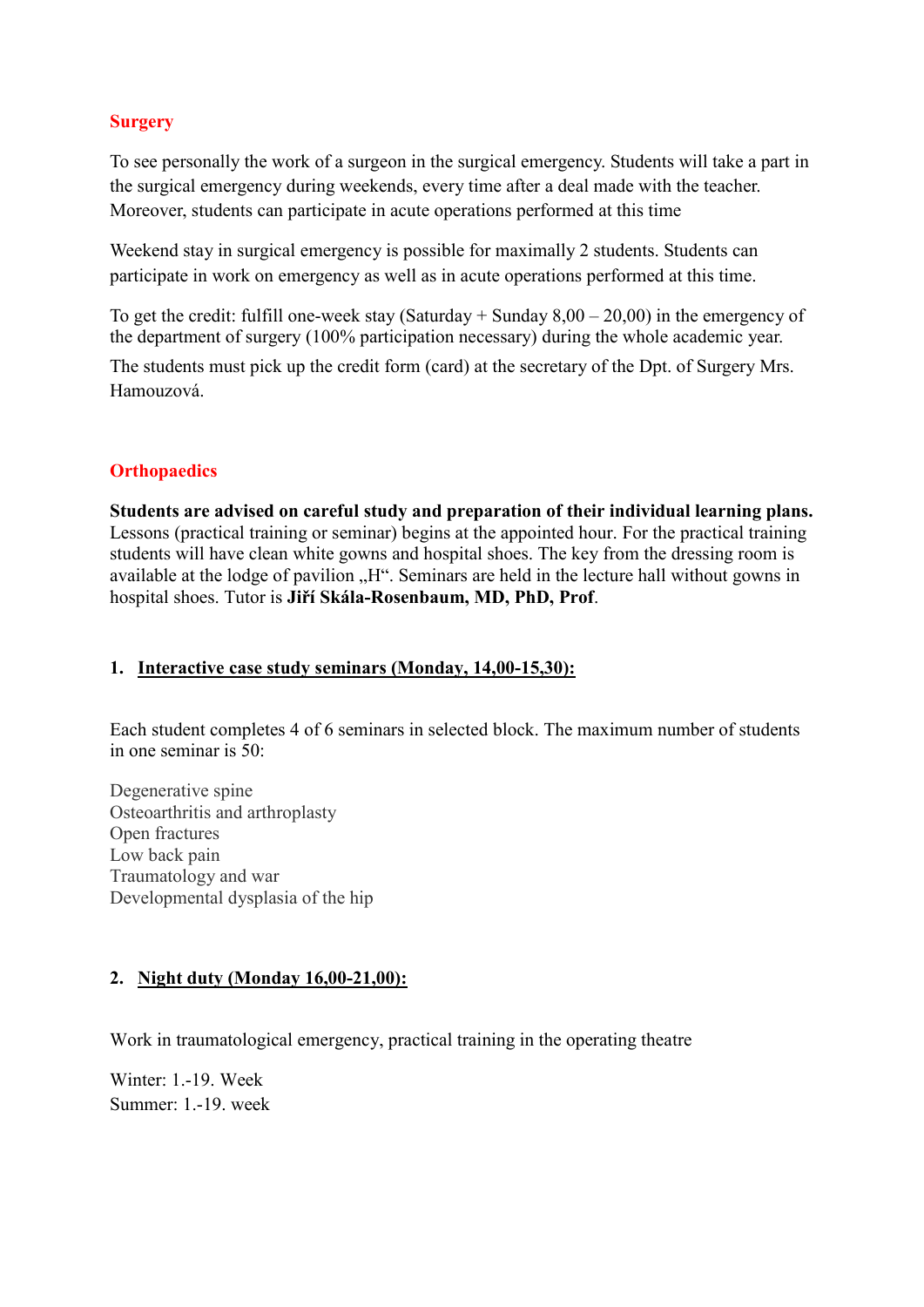# **Surgery**

To see personally the work of a surgeon in the surgical emergency. Students will take a part in the surgical emergency during weekends, every time after a deal made with the teacher. Moreover, students can participate in acute operations performed at this time

Weekend stay in surgical emergency is possible for maximally 2 students. Students can participate in work on emergency as well as in acute operations performed at this time.

To get the credit: fulfill one-week stay (Saturday  $+$  Sunday  $8.00 - 20.00$ ) in the emergency of the department of surgery (100% participation necessary) during the whole academic year.

The students must pick up the credit form (card) at the secretary of the Dpt. of Surgery Mrs. Hamouzová.

# **Orthopaedics**

**Students are advised on careful study and preparation of their individual learning plans.** Lessons (practical training or seminar) begins at the appointed hour. For the practical training students will have clean white gowns and hospital shoes. The key from the dressing room is available at the lodge of pavilion "H". Seminars are held in the lecture hall without gowns in hospital shoes. Tutor is **Jiří Skála-Rosenbaum, MD, PhD, Prof**.

### **1. Interactive case study seminars (Monday, 14,00-15,30):**

Each student completes 4 of 6 seminars in selected block. The maximum number of students in one seminar is 50:

Degenerative spine Osteoarthritis and arthroplasty Open fractures Low back pain Traumatology and war Developmental dysplasia of the hip

### **2. Night duty (Monday 16,00-21,00):**

Work in traumatological emergency, practical training in the operating theatre

Winter: 1.-19. Week Summer: 1.-19. week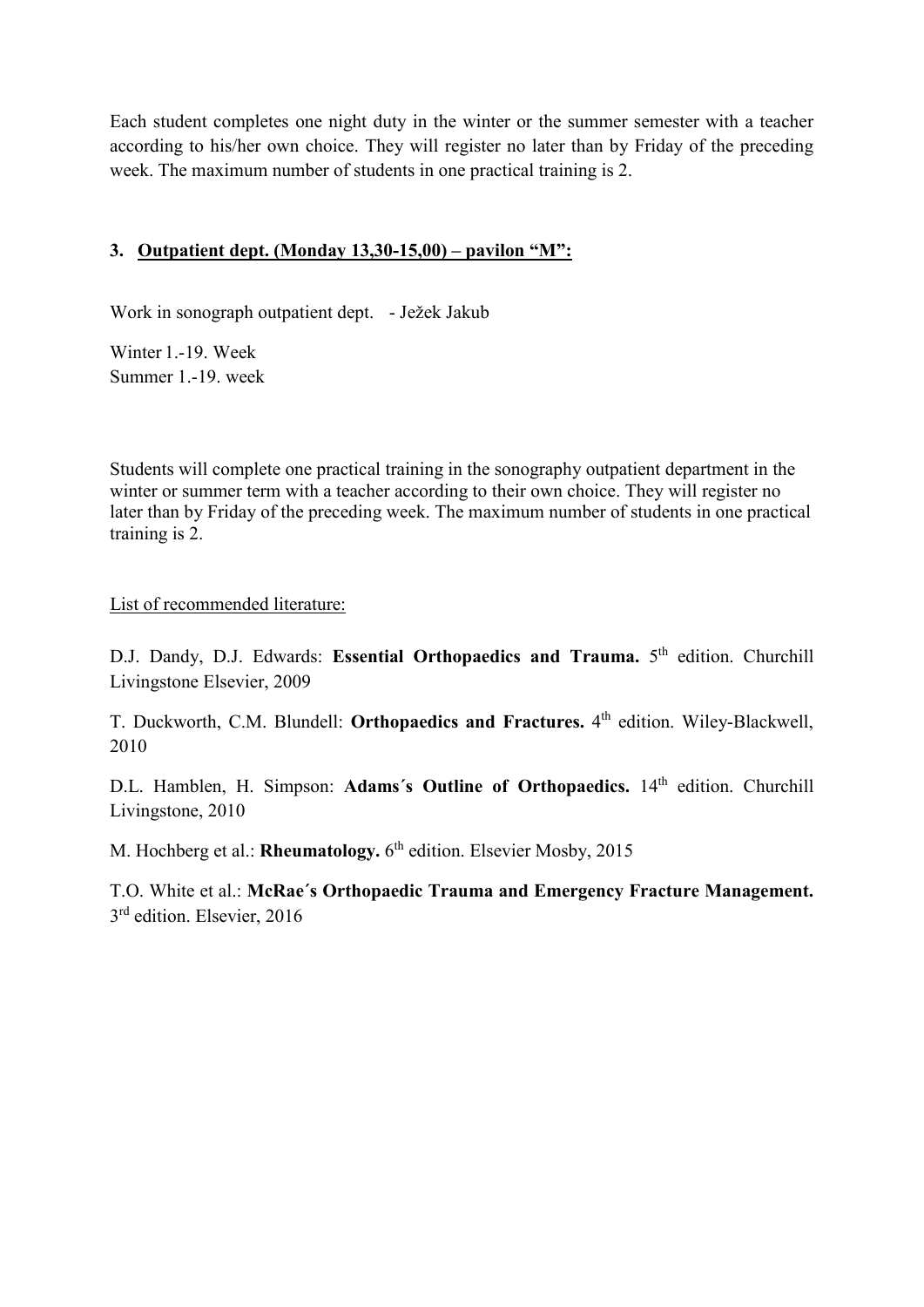Each student completes one night duty in the winter or the summer semester with a teacher according to his/her own choice. They will register no later than by Friday of the preceding week. The maximum number of students in one practical training is 2.

# **3. Outpatient dept. (Monday 13,30-15,00) – pavilon "M":**

Work in sonograph outpatient dept. - Ježek Jakub

Winter 1.-19. Week Summer 1.-19. week

Students will complete one practical training in the sonography outpatient department in the winter or summer term with a teacher according to their own choice. They will register no later than by Friday of the preceding week. The maximum number of students in one practical training is 2.

List of recommended literature:

D.J. Dandy, D.J. Edwards: **Essential Orthopaedics and Trauma.** 5<sup>th</sup> edition. Churchill Livingstone Elsevier, 2009

T. Duckworth, C.M. Blundell: **Orthopaedics and Fractures.** 4th edition. Wiley-Blackwell, 2010

D.L. Hamblen, H. Simpson: Adams's Outline of Orthopaedics. 14<sup>th</sup> edition. Churchill Livingstone, 2010

M. Hochberg et al.: **Rheumatology.** 6<sup>th</sup> edition. Elsevier Mosby, 2015

T.O. White et al.: **McRae´s Orthopaedic Trauma and Emergency Fracture Management.** 3<sup>rd</sup> edition. Elsevier, 2016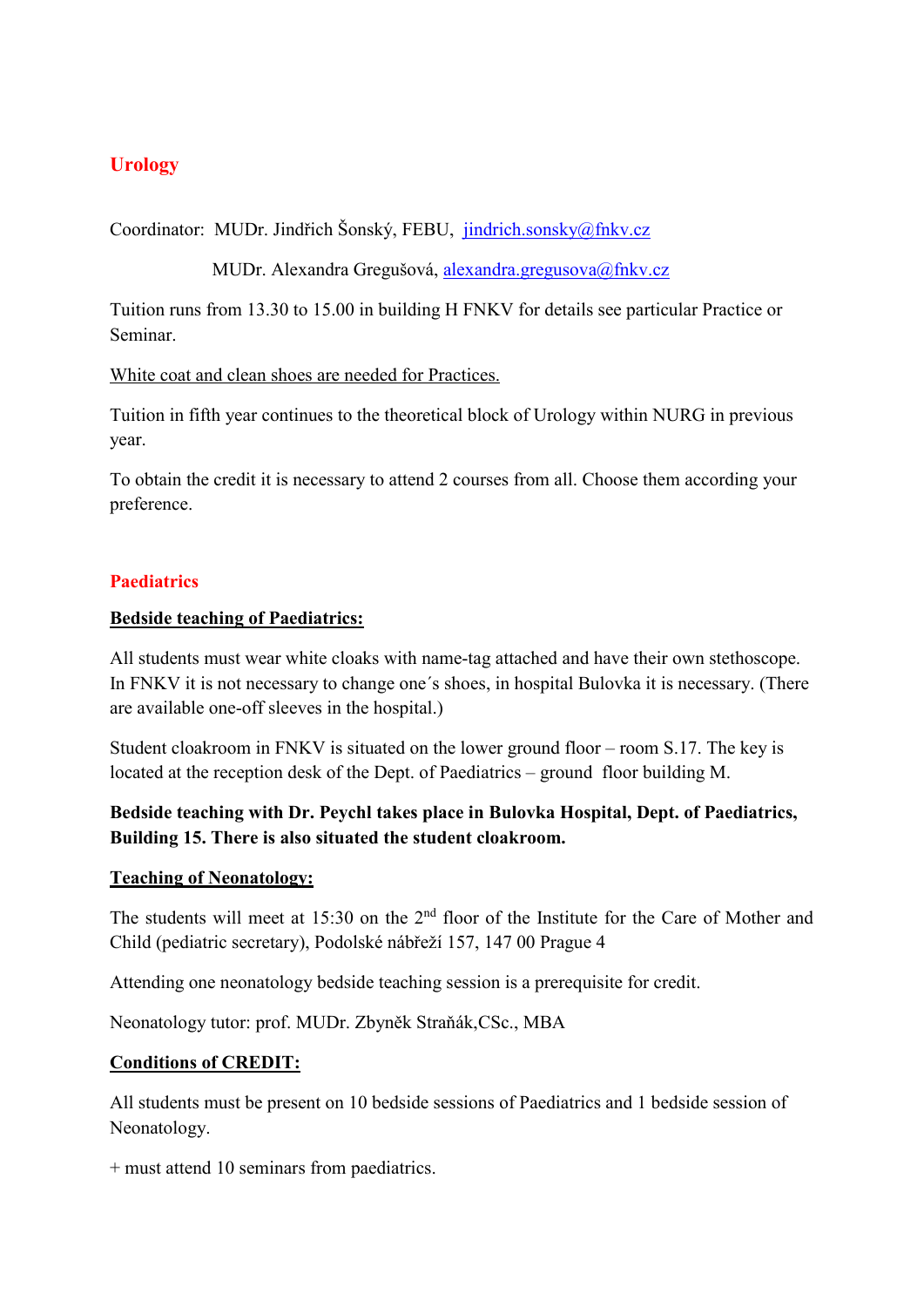# **Urology**

Coordinator: MUDr. Jindřich Šonský, FEBU, [jindrich.sonsky@fnkv.cz](mailto:jindrich.sonsky@fnkv.cz)

MUDr. Alexandra Gregušová, [alexandra.gregusova@fnkv.cz](mailto:alexandra.gregusova@fnkv.cz)

Tuition runs from 13.30 to 15.00 in building H FNKV for details see particular Practice or Seminar.

White coat and clean shoes are needed for Practices.

Tuition in fifth year continues to the theoretical block of Urology within NURG in previous year.

To obtain the credit it is necessary to attend 2 courses from all. Choose them according your preference.

# **Paediatrics**

### **Bedside teaching of Paediatrics:**

All students must wear white cloaks with name-tag attached and have their own stethoscope. In FNKV it is not necessary to change one´s shoes, in hospital Bulovka it is necessary. (There are available one-off sleeves in the hospital.)

Student cloakroom in FNKV is situated on the lower ground floor – room S.17. The key is located at the reception desk of the Dept. of Paediatrics – ground floor building M.

# **Bedside teaching with Dr. Peychl takes place in Bulovka Hospital, Dept. of Paediatrics, Building 15. There is also situated the student cloakroom.**

### **Teaching of Neonatology:**

The students will meet at 15:30 on the  $2<sup>nd</sup>$  floor of the Institute for the Care of Mother and Child (pediatric secretary), Podolské nábřeží 157, 147 00 Prague 4

Attending one neonatology bedside teaching session is a prerequisite for credit.

Neonatology tutor: prof. MUDr. Zbyněk Straňák,CSc., MBA

### **Conditions of CREDIT:**

All students must be present on 10 bedside sessions of Paediatrics and 1 bedside session of Neonatology.

+ must attend 10 seminars from paediatrics.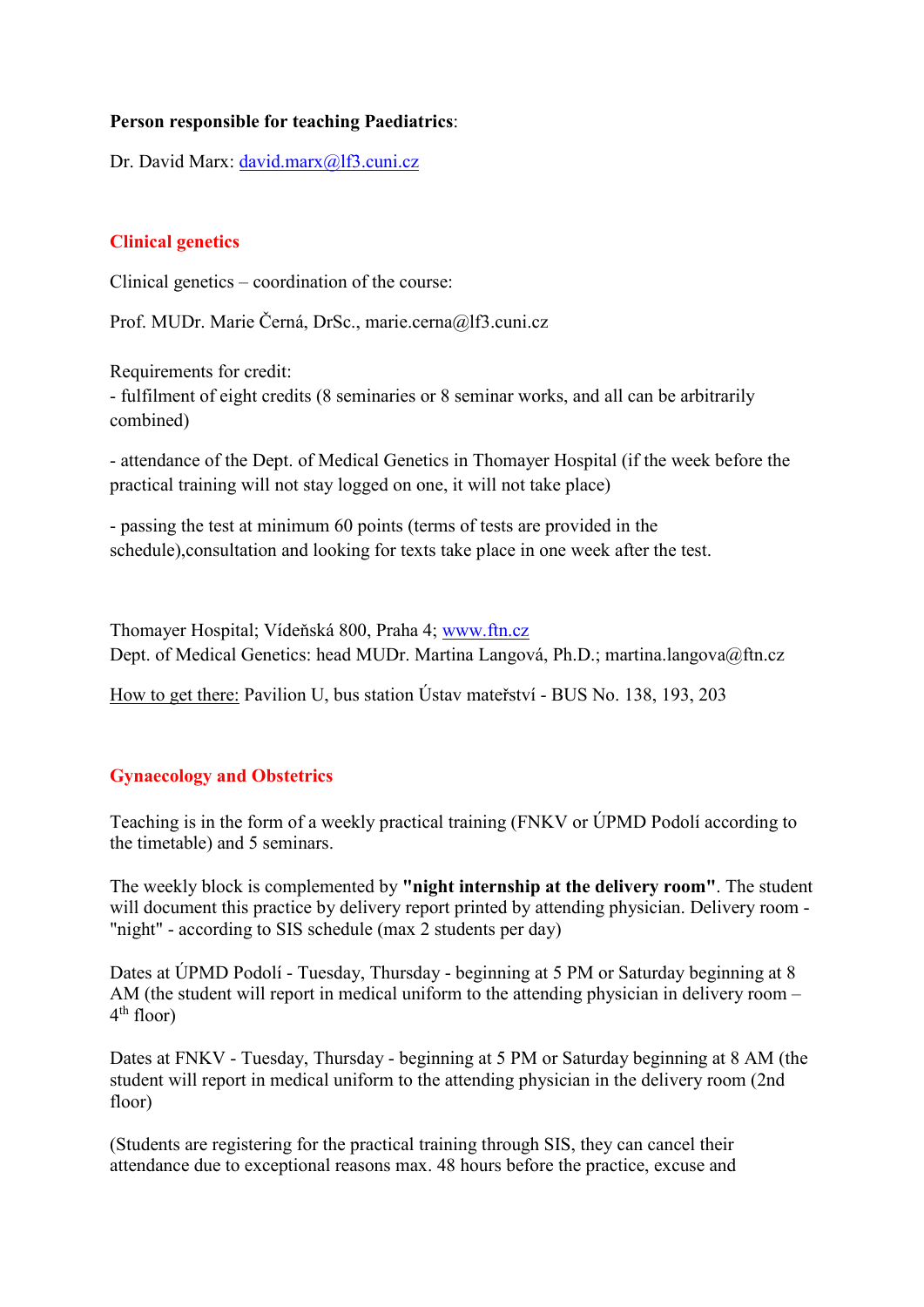# **Person responsible for teaching Paediatrics**:

Dr. David Marx: [david.marx@lf3.cuni.cz](mailto:david.marx@lf3.cuni.cz)

### **Clinical genetics**

Clinical genetics – coordination of the course:

Prof. MUDr. Marie Černá, DrSc., marie.cerna@lf3.cuni.cz

Requirements for credit:

- fulfilment of eight credits (8 seminaries or 8 seminar works, and all can be arbitrarily combined)

- attendance of the Dept. of Medical Genetics in Thomayer Hospital (if the week before the practical training will not stay logged on one, it will not take place)

- passing the test at minimum 60 points (terms of tests are provided in the schedule),consultation and looking for texts take place in one week after the test.

Thomayer Hospital; Vídeňská 800, Praha 4; [www.ftn.cz](http://www.ftn.cz/)  Dept. of Medical Genetics: head MUDr. Martina Langová, Ph.D.; martina.langova@ftn.cz

How to get there: Pavilion U, bus station Ústav mateřství - BUS No. 138, 193, 203

# **Gynaecology and Obstetrics**

Teaching is in the form of a weekly practical training (FNKV or ÚPMD Podolí according to the timetable) and 5 seminars.

The weekly block is complemented by **"night internship at the delivery room"**. The student will document this practice by delivery report printed by attending physician. Delivery room -"night" - according to SIS schedule (max 2 students per day)

Dates at ÚPMD Podolí - Tuesday, Thursday - beginning at 5 PM or Saturday beginning at 8 AM (the student will report in medical uniform to the attending physician in delivery room –  $4<sup>th</sup>$  floor)

Dates at FNKV - Tuesday, Thursday - beginning at 5 PM or Saturday beginning at 8 AM (the student will report in medical uniform to the attending physician in the delivery room (2nd floor)

(Students are registering for the practical training through SIS, they can cancel their attendance due to exceptional reasons max. 48 hours before the practice, excuse and